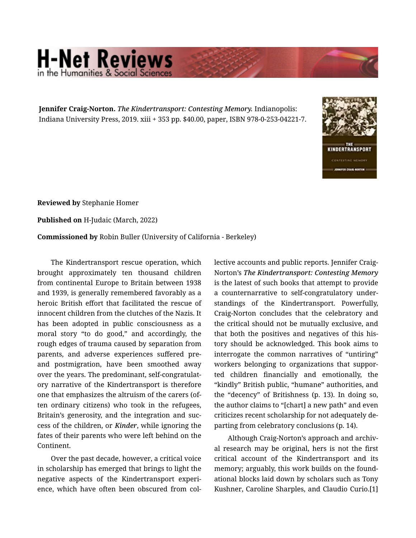## **H-Net Reviews** he Humanities & Social Scie

**Jennifer Craig-Norton.** *The Kindertransport: Contesting Memory.* Indianopolis: Indiana University Press, 2019. xiii + 353 pp. \$40.00, paper, ISBN 978-0-253-04221-7.



**Reviewed by** Stephanie Homer

**Published on** H-Judaic (March, 2022)

**Commissioned by** Robin Buller (University of California - Berkeley)

The Kindertransport rescue operation, which brought approximately ten thousand children from continental Europe to Britain between 1938 and 1939, is generally remembered favorably as a heroic British effort that facilitated the rescue of innocent children from the clutches of the Nazis. It has been adopted in public consciousness as a moral story "to do good," and accordingly, the rough edges of trauma caused by separation from parents, and adverse experiences suffered preand postmigration, have been smoothed away over the years. The predominant, self-congratulat‐ ory narrative of the Kindertransport is therefore one that emphasizes the altruism of the carers (of‐ ten ordinary citizens) who took in the refugees, Britain's generosity, and the integration and suc‐ cess of the children, or *Kinder*, while ignoring the fates of their parents who were left behind on the Continent.

Over the past decade, however, a critical voice in scholarship has emerged that brings to light the negative aspects of the Kindertransport experi‐ ence, which have often been obscured from collective accounts and public reports. Jennifer Craig-Norton's *The Kindertransport: Contesting Memory* is the latest of such books that attempt to provide a counternarrative to self-congratulatory under‐ standings of the Kindertransport. Powerfully, Craig-Norton concludes that the celebratory and the critical should not be mutually exclusive, and that both the positives and negatives of this his‐ tory should be acknowledged. This book aims to interrogate the common narratives of "untiring" workers belonging to organizations that suppor‐ ted children financially and emotionally, the "kindly" British public, "humane" authorities, and the "decency" of Britishness (p. 13). In doing so, the author claims to "[chart] a new path" and even criticizes recent scholarship for not adequately de‐ parting from celebratory conclusions (p. 14).

Although Craig-Norton's approach and archiv‐ al research may be original, hers is not the first critical account of the Kindertransport and its memory; arguably, this work builds on the found‐ ational blocks laid down by scholars such as Tony Kushner, Caroline Sharples, and Claudio Curio.[1]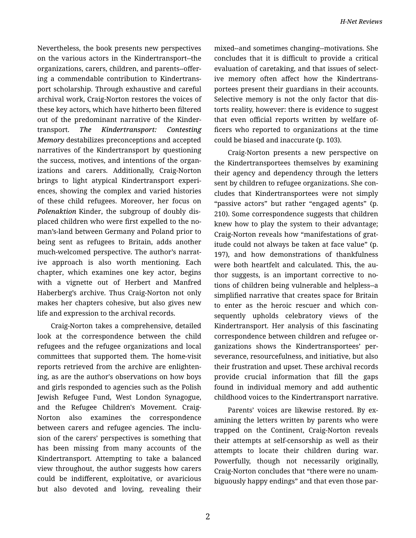Nevertheless, the book presents new perspectives on the various actors in the Kindertransport--the organizations, carers, children, and parents--offer‐ ing a commendable contribution to Kindertrans‐ port scholarship. Through exhaustive and careful archival work, Craig-Norton restores the voices of these key actors, which have hitherto been filtered out of the predominant narrative of the Kinder‐ transport. *The Kindertransport: Contesting Memory* destabilizes preconceptions and accepted narratives of the Kindertransport by questioning the success, motives, and intentions of the organ‐ izations and carers. Additionally, Craig-Norton brings to light atypical Kindertransport experi‐ ences, showing the complex and varied histories of these child refugees. Moreover, her focus on *Polenaktion* Kinder, the subgroup of doubly dis‐ placed children who were first expelled to the noman's-land between Germany and Poland prior to being sent as refugees to Britain, adds another much-welcomed perspective. The author's narrat‐ ive approach is also worth mentioning. Each chapter, which examines one key actor, begins with a vignette out of Herbert and Manfred Haberberg's archive. Thus Craig-Norton not only makes her chapters cohesive, but also gives new life and expression to the archival records.

Craig-Norton takes a comprehensive, detailed look at the correspondence between the child refugees and the refugee organizations and local committees that supported them. The home-visit reports retrieved from the archive are enlighten‐ ing, as are the author's observations on how boys and girls responded to agencies such as the Polish Jewish Refugee Fund, West London Synagogue, and the Refugee Children's Movement. Craig-Norton also examines the correspondence between carers and refugee agencies. The inclu‐ sion of the carers' perspectives is something that has been missing from many accounts of the Kindertransport. Attempting to take a balanced view throughout, the author suggests how carers could be indifferent, exploitative, or avaricious but also devoted and loving, revealing their

mixed--and sometimes changing--motivations. She concludes that it is difficult to provide a critical evaluation of caretaking, and that issues of select‐ ive memory often affect how the Kindertrans‐ portees present their guardians in their accounts. Selective memory is not the only factor that dis‐ torts reality, however: there is evidence to suggest that even official reports written by welfare of‐ ficers who reported to organizations at the time could be biased and inaccurate (p. 103).

Craig-Norton presents a new perspective on the Kindertransportees themselves by examining their agency and dependency through the letters sent by children to refugee organizations. She con‐ cludes that Kindertransportees were not simply "passive actors" but rather "engaged agents" (p. 210). Some correspondence suggests that children knew how to play the system to their advantage; Craig-Norton reveals how "manifestations of grat‐ itude could not always be taken at face value" (p. 197), and how demonstrations of thankfulness were both heartfelt and calculated. This, the author suggests, is an important corrective to no‐ tions of children being vulnerable and helpless--a simplified narrative that creates space for Britain to enter as the heroic rescuer and which con‐ sequently upholds celebratory views of the Kindertransport. Her analysis of this fascinating correspondence between children and refugee or‐ ganizations shows the Kindertransportees' per‐ severance, resourcefulness, and initiative, but also their frustration and upset. These archival records provide crucial information that fill the gaps found in individual memory and add authentic childhood voices to the Kindertransport narrative.

Parents' voices are likewise restored. By ex‐ amining the letters written by parents who were trapped on the Continent, Craig-Norton reveals their attempts at self-censorship as well as their attempts to locate their children during war. Powerfully, though not necessarily originally, Craig-Norton concludes that "there were no unam‐ biguously happy endings" and that even those par‐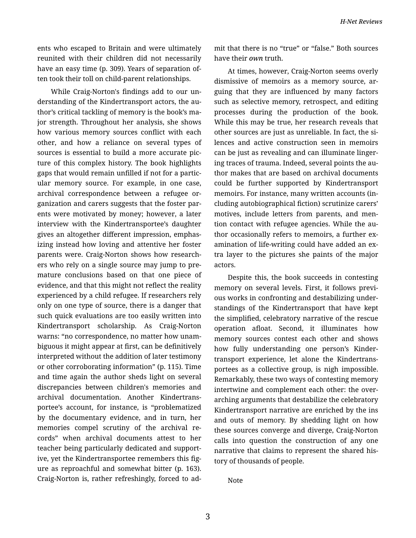ents who escaped to Britain and were ultimately reunited with their children did not necessarily have an easy time (p. 309). Years of separation of‐ ten took their toll on child-parent relationships.

While Craig-Norton's findings add to our un‐ derstanding of the Kindertransport actors, the au‐ thor's critical tackling of memory is the book's ma‐ jor strength. Throughout her analysis, she shows how various memory sources conflict with each other, and how a reliance on several types of sources is essential to build a more accurate pic‐ ture of this complex history. The book highlights gaps that would remain unfilled if not for a partic‐ ular memory source. For example, in one case, archival correspondence between a refugee or‐ ganization and carers suggests that the foster par‐ ents were motivated by money; however, a later interview with the Kindertransportee's daughter gives an altogether different impression, emphas‐ izing instead how loving and attentive her foster parents were. Craig-Norton shows how research‐ ers who rely on a single source may jump to pre‐ mature conclusions based on that one piece of evidence, and that this might not reflect the reality experienced by a child refugee. If researchers rely only on one type of source, there is a danger that such quick evaluations are too easily written into Kindertransport scholarship. As Craig-Norton warns: "no correspondence, no matter how unam‐ biguous it might appear at first, can be definitively interpreted without the addition of later testimony or other corroborating information" (p. 115). Time and time again the author sheds light on several discrepancies between children's memories and archival documentation. Another Kindertrans‐ portee's account, for instance, is "problematized by the documentary evidence, and in turn, her memories compel scrutiny of the archival re‐ cords" when archival documents attest to her teacher being particularly dedicated and support‐ ive, yet the Kindertransportee remembers this fig‐ ure as reproachful and somewhat bitter (p. 163). Craig-Norton is, rather refreshingly, forced to ad‐

mit that there is no "true" or "false." Both sources have their *own* truth.

At times, however, Craig-Norton seems overly dismissive of memoirs as a memory source, ar‐ guing that they are influenced by many factors such as selective memory, retrospect, and editing processes during the production of the book. While this may be true, her research reveals that other sources are just as unreliable. In fact, the si‐ lences and active construction seen in memoirs can be just as revealing and can illuminate linger‐ ing traces of trauma. Indeed, several points the au‐ thor makes that are based on archival documents could be further supported by Kindertransport memoirs. For instance, many written accounts (in‐ cluding autobiographical fiction) scrutinize carers' motives, include letters from parents, and men‐ tion contact with refugee agencies. While the au‐ thor occasionally refers to memoirs, a further ex‐ amination of life-writing could have added an ex‐ tra layer to the pictures she paints of the major actors.

Despite this, the book succeeds in contesting memory on several levels. First, it follows previ‐ ous works in confronting and destabilizing under‐ standings of the Kindertransport that have kept the simplified, celebratory narrative of the rescue operation afloat. Second, it illuminates how memory sources contest each other and shows how fully understanding one person's Kinder‐ transport experience, let alone the Kindertrans‐ portees as a collective group, is nigh impossible. Remarkably, these two ways of contesting memory intertwine and complement each other: the overarching arguments that destabilize the celebratory Kindertransport narrative are enriched by the ins and outs of memory. By shedding light on how these sources converge and diverge, Craig-Norton calls into question the construction of any one narrative that claims to represent the shared his‐ tory of thousands of people.

Note